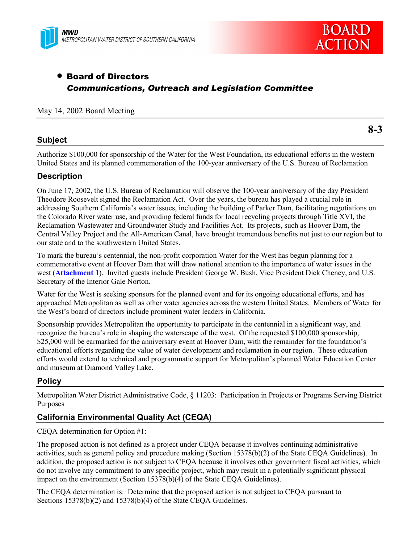



# • Board of Directors *Communications, Outreach and Legislation Committee*

#### May 14, 2002 Board Meeting

#### **Subject**

**8-3**

Authorize \$100,000 for sponsorship of the Water for the West Foundation, its educational efforts in the western United States and its planned commemoration of the 100-year anniversary of the U.S. Bureau of Reclamation

#### **Description**

On June 17, 2002, the U.S. Bureau of Reclamation will observe the 100-year anniversary of the day President Theodore Roosevelt signed the Reclamation Act. Over the years, the bureau has played a crucial role in addressing Southern California's water issues, including the building of Parker Dam, facilitating negotiations on the Colorado River water use, and providing federal funds for local recycling projects through Title XVI, the Reclamation Wastewater and Groundwater Study and Facilities Act. Its projects, such as Hoover Dam, the Central Valley Project and the All-American Canal, have brought tremendous benefits not just to our region but to our state and to the southwestern United States.

To mark the bureau's centennial, the non-profit corporation Water for the West has begun planning for a commemorative event at Hoover Dam that will draw national attention to the importance of water issues in the west (**Attachment 1**). Invited guests include President George W. Bush, Vice President Dick Cheney, and U.S. Secretary of the Interior Gale Norton.

Water for the West is seeking sponsors for the planned event and for its ongoing educational efforts, and has approached Metropolitan as well as other water agencies across the western United States. Members of Water for the West's board of directors include prominent water leaders in California.

Sponsorship provides Metropolitan the opportunity to participate in the centennial in a significant way, and recognize the bureau's role in shaping the waterscape of the west. Of the requested \$100,000 sponsorship, \$25,000 will be earmarked for the anniversary event at Hoover Dam, with the remainder for the foundation's educational efforts regarding the value of water development and reclamation in our region. These education efforts would extend to technical and programmatic support for Metropolitan's planned Water Education Center and museum at Diamond Valley Lake.

# **Policy**

Metropolitan Water District Administrative Code, § 11203: Participation in Projects or Programs Serving District Purposes

# **California Environmental Quality Act (CEQA)**

CEQA determination for Option #1:

The proposed action is not defined as a project under CEQA because it involves continuing administrative activities, such as general policy and procedure making (Section 15378(b)(2) of the State CEQA Guidelines). In addition, the proposed action is not subject to CEQA because it involves other government fiscal activities, which do not involve any commitment to any specific project, which may result in a potentially significant physical impact on the environment (Section 15378(b)(4) of the State CEQA Guidelines).

The CEQA determination is: Determine that the proposed action is not subject to CEQA pursuant to Sections 15378(b)(2) and 15378(b)(4) of the State CEQA Guidelines.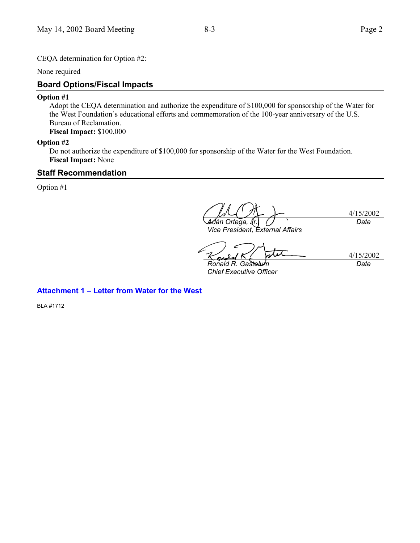CEQA determination for Option #2:

None required

## **Board Options/Fiscal Impacts**

#### **Option #1**

Adopt the CEQA determination and authorize the expenditure of \$100,000 for sponsorship of the Water for the West Foundation's educational efforts and commemoration of the 100-year anniversary of the U.S. Bureau of Reclamation. **Fiscal Impact:** \$100,000

#### **Option #2**

Do not authorize the expenditure of \$100,000 for sponsorship of the Water for the West Foundation. **Fiscal Impact:** None

### **Staff Recommendation**

Option #1

4/15/2002 *Adán Ortega, Jr. Date*

*Vice President, External Affairs*

4/15/2002 O

*Ronald R. Gastelum Chief Executive Officer*

*Date*

# **Attachment 1 – Letter from Water for the West**

BLA #1712